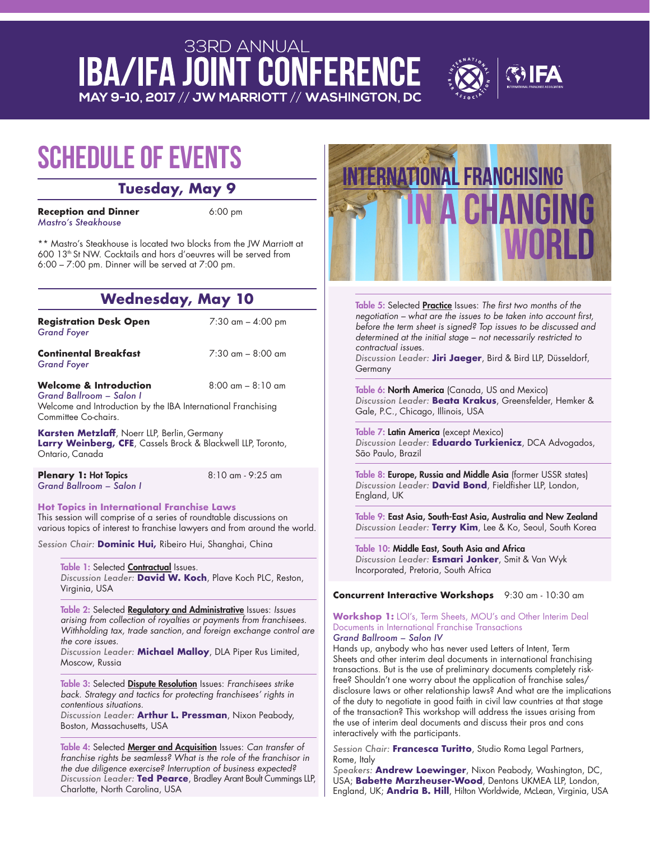## **33RD ANNUAL IBA/IFA JOINT CONFERENCE** MAY 9-10, 2017 // JW MARRIOTT // WASHINGTON, DC



# **Schedule of Events**

### **Tuesday, May 9**

**Reception and Dinner** 6:00 pm *Mastro's Steakhouse*

\*\* Mastro's Steakhouse is located two blocks from the JW Marriott at 600 13th St NW. Cocktails and hors d'oeuvres will be served from 6:00 – 7:00 pm. Dinner will be served at 7:00 pm.

# **Wednesday, May 10**

**Registration Desk Open** 7:30 am – 4:00 pm *Grand Foyer*

**Continental Breakfast** 7:30 am – 8:00 am *Grand Foyer*

**Welcome & Introduction** 8:00 am – 8:10 am *Grand Ballroom – Salon I* 

Welcome and Introduction by the IBA International Franchising Committee Co-chairs.

**Karsten Metzlaff**, Noerr LLP, Berlin, Germany **Larry Weinberg, CFE**, Cassels Brock & Blackwell LLP, Toronto, Ontario, Canada

**Plenary 1: Hot Topics** 8:10 am - 9:25 am *Grand Ballroom – Salon I*

**Hot Topics in International Franchise Laws** This session will comprise of a series of roundtable discussions on various topics of interest to franchise lawyers and from around the world.

*Session Chair:* **Dominic Hui,** Ribeiro Hui, Shanghai, China

#### Table 1: Selected Contractual Issues.

*Discussion Leader:* **David W. Koch**, Plave Koch PLC, Reston, Virginia, USA

Table 2: Selected Regulatory and Administrative Issues: Issues arising from collection of royalties or payments from franchisees. Withholding tax, trade sanction, and foreign exchange control are the core issues.

*Discussion Leader:* **Michael Malloy**, DLA Piper Rus Limited, Moscow, Russia

Table 3: Selected Dispute Resolution Issues: Franchisees strike back. Strategy and tactics for protecting franchisees' rights in contentious situations.

*Discussion Leader:* **Arthur L. Pressman**, Nixon Peabody, Boston, Massachusetts, USA

Table 4: Selected Merger and Acquisition Issues: Can transfer of franchise rights be seamless? What is the role of the franchisor in the due diligence exercise? Interruption of business expected? *Discussion Leader:* **Ted Pearce**, Bradley Arant Boult Cummings LLP, Charlotte, North Carolina, USA



Table 5: Selected Practice Issues: The first two months of the negotiation – what are the issues to be taken into account first, before the term sheet is signed? Top issues to be discussed and determined at the initial stage – not necessarily restricted to contractual issues.

*Discussion Leader:* **Jiri Jaeger**, Bird & Bird LLP, Düsseldorf, Germany

Table 6: North America (Canada, US and Mexico) *Discussion Leader:* **Beata Krakus**, Greensfelder, Hemker & Gale, P.C., Chicago, Illinois, USA

Table 7: Latin America (except Mexico) *Discussion Leader:* **Eduardo Turkienicz**, DCA Advogados, São Paulo, Brazil

Table 8: Europe, Russia and Middle Asia (former USSR states) *Discussion Leader:* **David Bond**, Fieldfisher LLP, London, England, UK

Table 9: East Asia, South-East Asia, Australia and New Zealand *Discussion Leader:* **Terry Kim**, Lee & Ko, Seoul, South Korea

Table 10: Middle East, South Asia and Africa *Discussion Leader:* **Esmari Jonker**, Smit & Van Wyk Incorporated, Pretoria, South Africa

**Concurrent Interactive Workshops** 9:30 am - 10:30 am

#### **Workshop 1:** LOI's, Term Sheets, MOU's and Other Interim Deal Documents in International Franchise Transactions *Grand Ballroom – Salon IV*

Hands up, anybody who has never used Letters of Intent, Term Sheets and other interim deal documents in international franchising transactions. But is the use of preliminary documents completely riskfree? Shouldn't one worry about the application of franchise sales/ disclosure laws or other relationship laws? And what are the implications of the duty to negotiate in good faith in civil law countries at that stage of the transaction? This workshop will address the issues arising from the use of interim deal documents and discuss their pros and cons interactively with the participants.

*Session Chair:* **Francesca Turitto**, Studio Roma Legal Partners, Rome, Italy

*Speakers:* **Andrew Loewinger**, Nixon Peabody, Washington, DC, USA; **Babette Marzheuser-Wood**, Dentons UKMEA LLP, London, England, UK; **Andria B. Hill**, Hilton Worldwide, McLean, Virginia, USA